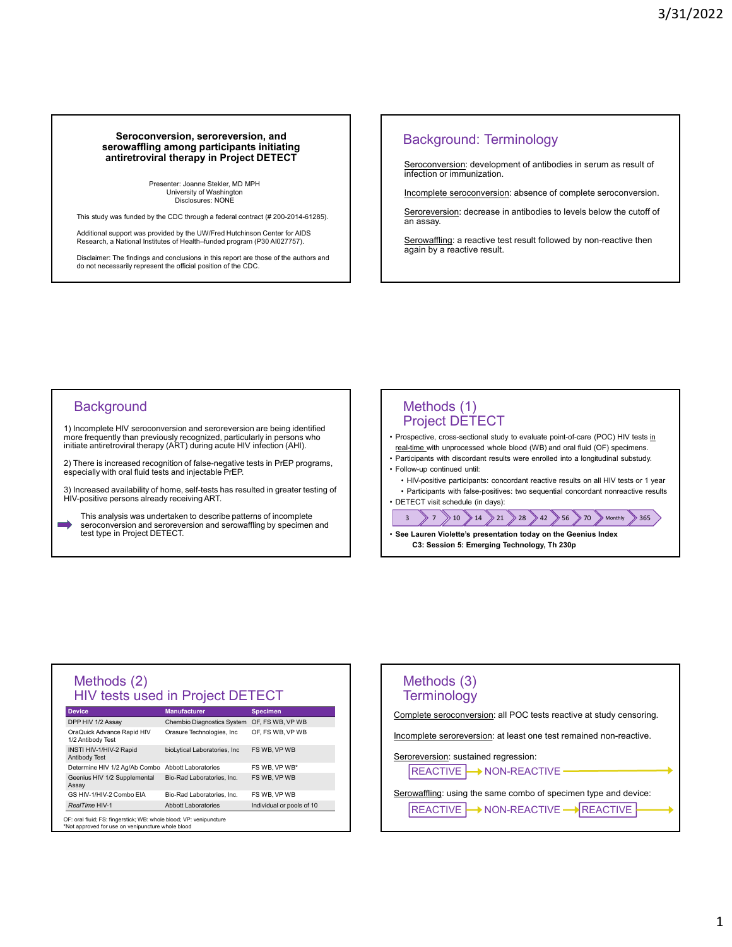# Seroconversion, seroreversion, and Seroconversion, seroreversion, and<br>
serowaffling among participants initiating<br>
antiretroviral therapy in Project DETECT<br>
Presenter. Joanne Stekler, MD MPH<br>
Diversity of Washington<br>
Disclosures: NONE<br>
Discolosures: NONE<br>
D antiretroviral therapy in Project DETECT **Seroconversion, serorswession, and<br>
antifertorical emergency in Project DETECT<br>
antifertorical therapy in Project DETECT<br>
Preserver same states university<br>
The distribution of international complete Biography and the ser**

Presenter: Joanne Stekler, MD MPH University of Washington Disclosures: NONE

This study was funded by the CDC through a federal contract (# 200-2014-61285).

Additional support was provided by the UW/Fred Hutchinson Center for AIDS Research, a National Institutes of Health–funded program (P30 AI027757).

Disclaimer: The findings and conclusions in this report are those of the authors and do not necessarily represent the official position of the CDC.

### Background: Terminology

Seroconversion: development of antibodies in serum as result of infection or immunization.

Incomplete seroconversion: absence of complete seroconversion.

Seroreversion: decrease in antibodies to levels below the cutoff of an assay.

Serowaffling: a reactive test result followed by non-reactive then again by a reactive result.

### **Background**

more frequently than previously recognized, particularly in persons who **represent of the constant of the prospectiv**<br>initiate antiretroviral therapy (ART) during acute HIV infection (AHI). in a british show the Collective High and Server School control and Server School control and the series of the serowaffling in a series of the series of the series of the series of the series of the series of the series o

2) There is increased recognition of false-negative tests in PrEP programs,<br>especially with oral fluid tests and injectable PrEP<br>• Follow-up continued until: especially with oral fluid tests and injectable PrEP.

3) Increased availability of home, self-tests has resulted in greater testing of Participants with false-positives: two sequential concordant nonreactive results HIV-positive persons already receiving ART.

This analysis was undertaken to describe patterns of incomplete seroconversion and seroreversion and serowaffling by specimen and<br>test type in Project DETECT.

### Methods (1) Project DETECT

- Background: Terminology<br>
 <u>Seroconversion</u>: development of antibodies in serum as result of<br>
 Incomplete seroconversion; absence of complete seroconversion.<br>
 Seroreversion: decrease in antibodies to levels below the real-time with unprocessed whole blood (WB) and oral fluid (OF) specimens. **Sensony erison**: development of antibodies in serum as result of<br>
infection or immunization.<br>
<u>Incomplete seroconversion</u>: decrease in antibodies to levels below the cutoff of<br>
an assay.<br>
Sensewere enrolling: a reactive **Seroconversion:** development of antibodies in serum as result of<br>
infection or immunization.<br>
<u>Incomplete seroconversion</u>: absence of complete seroconversion.<br> **Seroversion**: decrease in antibodies to levels below the cu <u>briection or immunization</u>.<br>
<u>Interction or immunization</u>.<br>
Incomplete sercoonversion: absence of complete sercoonversion.<br>
Sercreversion: decrease in antibodies to levels below the cutoff of<br>
Sercrewarfling: a reactive • Incomplete seroconversion: absence of complete seroconversion.<br>
<u>Seroreversion</u>: decrease in antibodies to levels below the cutoff of<br>
an assay.<br>
<u>Serowalffing:</u> a reactive tesult. followed by non-reactive then<br>
again b Incomplete seroconversion; absence of complete seroconversion.<br>
Serowaffling: a reactive test result followed by non-reactive then<br>
again by a reactive result.<br>
Serowaffling: a reactive test result followed by non-reactiv
- 
- 
- 
- 

 $\begin{array}{c|c|c|c|c} \hline 3 & 7 & 10 & 14 & 21 & 28 & 42 & 56 & 70 & \text{Monthly} & 365 \\ \hline \end{array}$ <br>  $\cdot$  See Lauren Violette's presentation today on the Geenius Index<br>
C3: Session 5: Emerging Technology, Th 230p

### Methods (2) HIV tests used in Project DETECT Chromoster and the measure of the measure of the measure of the measure of the measure of the measure of the measure of the measure of the measure of the measure of the measure of the measure of the measure of the measure OraQuick Advance Rapid HIV<br>1/2 Antibody Test INSTI HIV-1/HIV-2 Rapid bioLytical Laboratories, Inc FS WB, VP WB Antibody Test Christen Condition of the Christmas of the Christmas of the Christmas of the Christmas of the Christmas HIV positive persons already recolulned unit.<br>
This analysis was undertaken to describe patterns and injectable PrEP<br> Assay and the contract of the contract of the contract of the contract of the contract of the contract of the Nethods (2)<br>
Nethods (3)<br>
Nethods (3)<br>
Nethods (3)<br>
Nethods (3)<br>
Nethods (3)<br>
Nethods (3)<br>
Nethods (3)<br>
Nethods (3)<br>
Nethods (3)<br>
Nethods (3)<br>
Nethods (3)<br>
Nethods (3)<br>
Nethods (3)<br>
Nethods (3)<br>
Nethods (3)<br>
Nethods (3)<br>

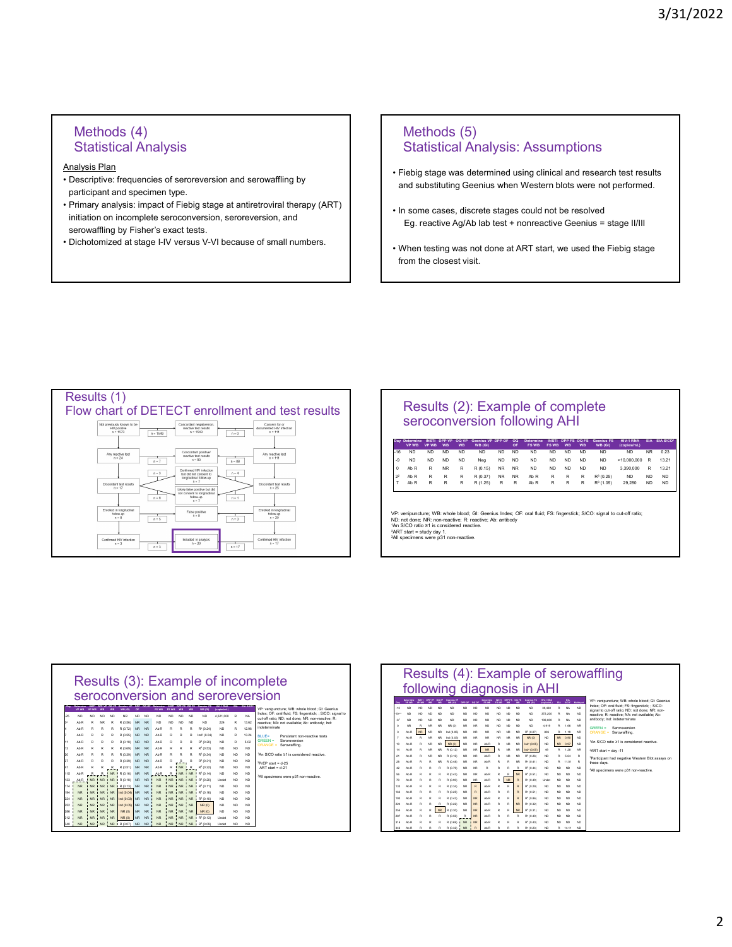### Methods (4) Statistical Analysis

Analysis Plan

- participant and specimen type.
- Methods (4)<br>
Statistical Analysis<br>
Analysis Plan<br>
Poscriptive: frequencies of seroreversion and serowaffling by<br>
Periteipig stage at antiretroviral therapy (ART)<br>
Primary analysis: mastern hotes were not performed.<br> Methods (4)<br>
Statistical Analysis<br>
<u>Analysis:</u> Plan<br>
Photos (5)<br>
Parcipitive: frequencies of serveversion and servowthing by<br>
Perimary analysis: Assumption<br>
Perimary analysis: Assumption<br>
Perimary analysis: Assumption<br> Frimaly analysis. Impact of Fielig stage at antiferioviral therapy (ANT)<br>initiation on incomplete seroconversion, seroreversion, and<br>Eg. reactive Ag/Ab lab test + nonreactive Geenius = stage II/III Methods (4)<br>
Statistical Analysis<br>
<u>nalvsis Plan</u><br>
Descriptive: frequencies of seroreversion and serowaffling by<br>
Primary analysis: impact of Fiebig stage at antiretroviral therapy (ART)<br>
Primary analysis: impact of Fiebig Methods (4)<br>
Statistical Analysis<br>
Analysis Plan<br>
Pescriptive: frequencies of seroreversion and serowaffling by<br>
participant and specimen type.<br>
Primary and Substitution on incomplete seroconversion, seroreversion, and<br>
se
- 

## Methods (5) Statistical Analysis: Assumptions 3/31/2022<br>
Methods (5)<br>
Statistical Analysis: Assumptions<br>
Fiebig stage was determined using clinical and research test results<br>
and substituting Geenius when Western blots were not performed.<br>
In some cases, discrete stag 3/31/2022<br>
Methods (5)<br>
Statistical Analysis: Assumptions<br>
Fiebig stage was determined using clinical and research test results<br>
and substituting Geenius when Western blots were not performed.<br>
In some cases, discrete stag 9/31/2022<br>• Statistical Analysis: Assumptions<br>• Fiebig stage was determined using clinical and research test results<br>and substituting Geenius when Western blots were not performed.<br>• In some cases, discrete stages could no 3/31/2022<br>Elatistical Analysis: Assumptions<br>Elebig stage was determined using clinical and research test results<br>and substituting Geenius when Western blots were not performed.<br>In some cases, discrete stages could not be r 3/31/2022<br>• Methods (5)<br>• Statistical Analysis: Assumptions<br>• Fiebig stage was determined using clinical and research test results<br>and substituting Geenius when Western blots were not performed.<br>• In some cases, discrete s

- 
- 
- from the closest visit.



| Results (2): Example of complete |
|----------------------------------|
| seroconversion following AHI     |

| Methods (5)<br><b>Statistical Analysis: Assumptions</b>                                                                                                                                                                                                                                                                                                                                                                                                                                                                                                                                                                                                                                                                                                                                                                                                                                                                                                                                          |                                                                                                                                                                                                                  |
|--------------------------------------------------------------------------------------------------------------------------------------------------------------------------------------------------------------------------------------------------------------------------------------------------------------------------------------------------------------------------------------------------------------------------------------------------------------------------------------------------------------------------------------------------------------------------------------------------------------------------------------------------------------------------------------------------------------------------------------------------------------------------------------------------------------------------------------------------------------------------------------------------------------------------------------------------------------------------------------------------|------------------------------------------------------------------------------------------------------------------------------------------------------------------------------------------------------------------|
| • Fiebig stage was determined using clinical and research test results<br>and substituting Geenius when Western blots were not performed.                                                                                                                                                                                                                                                                                                                                                                                                                                                                                                                                                                                                                                                                                                                                                                                                                                                        |                                                                                                                                                                                                                  |
| • In some cases, discrete stages could not be resolved<br>Eg. reactive Ag/Ab lab test + nonreactive Geenius = stage II/III                                                                                                                                                                                                                                                                                                                                                                                                                                                                                                                                                                                                                                                                                                                                                                                                                                                                       |                                                                                                                                                                                                                  |
| . When testing was not done at ART start, we used the Fiebig stage<br>from the closest visit.                                                                                                                                                                                                                                                                                                                                                                                                                                                                                                                                                                                                                                                                                                                                                                                                                                                                                                    |                                                                                                                                                                                                                  |
|                                                                                                                                                                                                                                                                                                                                                                                                                                                                                                                                                                                                                                                                                                                                                                                                                                                                                                                                                                                                  |                                                                                                                                                                                                                  |
|                                                                                                                                                                                                                                                                                                                                                                                                                                                                                                                                                                                                                                                                                                                                                                                                                                                                                                                                                                                                  |                                                                                                                                                                                                                  |
|                                                                                                                                                                                                                                                                                                                                                                                                                                                                                                                                                                                                                                                                                                                                                                                                                                                                                                                                                                                                  |                                                                                                                                                                                                                  |
| Results (2): Example of complete<br>seroconversion following AHI                                                                                                                                                                                                                                                                                                                                                                                                                                                                                                                                                                                                                                                                                                                                                                                                                                                                                                                                 |                                                                                                                                                                                                                  |
| <b>Seenius FS</b><br><b>INSTI</b><br>OQ VI<br>OQ<br>OF<br>DQ F<br>INSTI<br><b>FS WB</b><br>VP WB<br><b>VP WB</b><br><b>WB</b><br>WB (GI<br><b>FS WB</b><br>WB<br>WB (GI)<br>WB<br><b>WB</b><br><b>ND</b><br><b>ND</b><br><b>ND</b><br><b>ND</b><br><b>ND</b><br><b>ND</b><br><b>ND</b><br><b>ND</b><br><b>ND</b><br><b>ND</b><br>16<br><b>ND</b><br><b>ND</b><br>$\mathsf{ND}$<br><b>ND</b><br>$-9$<br><b>ND</b><br><b>ND</b><br><b>ND</b><br><b>ND</b><br>Neg<br><b>ND</b><br><b>ND</b><br><b>ND</b><br><b>ND</b><br><b>ND</b><br>$\mathbf{0}$<br>Ab R<br><b>NR</b><br>$\mathsf R$<br>R (0.15)<br>NR<br><b>NR</b><br>$\sf ND$<br><b>ND</b><br><b>ND</b><br><b>ND</b><br>$\sf ND$<br>R<br>$\mathsf R$<br>R (0.37)<br>NR<br><b>NR</b><br>Ab R<br>R<br>$\mathbb{R}$<br>$\mathbb R$<br>$R^3$ (0.25)<br>2 <sup>2</sup><br>Ah <sub>R</sub><br>R<br>R<br>R (1.25)<br>Ab $R$<br>$\mathsf R$<br>$R^3$ (1.05)<br>$\overline{7}$<br>Ab R<br>R<br>$\mathsf R$<br>$\mathbb{R}$<br>R<br>R<br>$\mathsf R$<br>R | <b>EIA S/CO</b><br>HIV-1 RNA<br>EIA<br>(copies/mL)<br><b>ND</b><br>0.23<br><b>NR</b><br>13.21<br>>10,000,000<br>R<br>3,390,000<br>13.21<br>R<br><b>ND</b><br><b>ND</b><br><b>ND</b><br>29,280<br>ND<br><b>ND</b> |
| VP: venipuncture; WB: whole blood; GI: Geenius Index; OF: oral fluid; FS: fingerstick; S/CO: signal to cut-off ratio;<br>ND: not done; NR: non-reactive; R: reactive; Ab: antibody<br>1An S/CO ratio ≥1 is considered reactive.<br><sup>2</sup> ART start = study day 1.<br><sup>3</sup> All specimens were p31 non-reactive.                                                                                                                                                                                                                                                                                                                                                                                                                                                                                                                                                                                                                                                                    |                                                                                                                                                                                                                  |
|                                                                                                                                                                                                                                                                                                                                                                                                                                                                                                                                                                                                                                                                                                                                                                                                                                                                                                                                                                                                  |                                                                                                                                                                                                                  |

| documented HIV infection<br>$HVP$ csitive<br>$n = 1573$<br>reactive test results<br>┳<br>$n = 1549$<br>$n = 111$<br>$n = 1549$<br>$n = 0$                                                                                                                                                                                                                                                                                                                                                                                                                                                                                                                                                                                                                                                                                                                                                                                                                                                                                                                                                                                                                                                                                                                                                                                                                                                                                                                                                                                                                                                                                                                                                                                                                                                                                                                                                                                                                                                                                                                                                                                                                                                                                                                                                                                                                                                                                                                                                                                                                                                                                                                                                                                                                                                                                                                                                                                                                                                                                                                                                                                                                                                            |                                                                                                                                                                                                                                                                                                                                                                                                                                                                                                                                                                                                                                                                                                                                                                                                                                                                                                                                                                                                                                                                                                                                                                                                                                                                                                                                                                                                                                                                                                                                                                                                                                                                                                                                                                                                                                                                                                                                                                                                                                                                                                                                                                                                                                                                                                                                                                                                                                                                                                                                                                                                                                                                                                                                                                                                                                                                                                                                                                                                                                                                                              |
|------------------------------------------------------------------------------------------------------------------------------------------------------------------------------------------------------------------------------------------------------------------------------------------------------------------------------------------------------------------------------------------------------------------------------------------------------------------------------------------------------------------------------------------------------------------------------------------------------------------------------------------------------------------------------------------------------------------------------------------------------------------------------------------------------------------------------------------------------------------------------------------------------------------------------------------------------------------------------------------------------------------------------------------------------------------------------------------------------------------------------------------------------------------------------------------------------------------------------------------------------------------------------------------------------------------------------------------------------------------------------------------------------------------------------------------------------------------------------------------------------------------------------------------------------------------------------------------------------------------------------------------------------------------------------------------------------------------------------------------------------------------------------------------------------------------------------------------------------------------------------------------------------------------------------------------------------------------------------------------------------------------------------------------------------------------------------------------------------------------------------------------------------------------------------------------------------------------------------------------------------------------------------------------------------------------------------------------------------------------------------------------------------------------------------------------------------------------------------------------------------------------------------------------------------------------------------------------------------------------------------------------------------------------------------------------------------------------------------------------------------------------------------------------------------------------------------------------------------------------------------------------------------------------------------------------------------------------------------------------------------------------------------------------------------------------------------------------------------------------------------------------------------------------------------------------------------|----------------------------------------------------------------------------------------------------------------------------------------------------------------------------------------------------------------------------------------------------------------------------------------------------------------------------------------------------------------------------------------------------------------------------------------------------------------------------------------------------------------------------------------------------------------------------------------------------------------------------------------------------------------------------------------------------------------------------------------------------------------------------------------------------------------------------------------------------------------------------------------------------------------------------------------------------------------------------------------------------------------------------------------------------------------------------------------------------------------------------------------------------------------------------------------------------------------------------------------------------------------------------------------------------------------------------------------------------------------------------------------------------------------------------------------------------------------------------------------------------------------------------------------------------------------------------------------------------------------------------------------------------------------------------------------------------------------------------------------------------------------------------------------------------------------------------------------------------------------------------------------------------------------------------------------------------------------------------------------------------------------------------------------------------------------------------------------------------------------------------------------------------------------------------------------------------------------------------------------------------------------------------------------------------------------------------------------------------------------------------------------------------------------------------------------------------------------------------------------------------------------------------------------------------------------------------------------------------------------------------------------------------------------------------------------------------------------------------------------------------------------------------------------------------------------------------------------------------------------------------------------------------------------------------------------------------------------------------------------------------------------------------------------------------------------------------------------------|
|                                                                                                                                                                                                                                                                                                                                                                                                                                                                                                                                                                                                                                                                                                                                                                                                                                                                                                                                                                                                                                                                                                                                                                                                                                                                                                                                                                                                                                                                                                                                                                                                                                                                                                                                                                                                                                                                                                                                                                                                                                                                                                                                                                                                                                                                                                                                                                                                                                                                                                                                                                                                                                                                                                                                                                                                                                                                                                                                                                                                                                                                                                                                                                                                      | Day Determine<br><b>INSTI</b> DPP VP<br>OQ VF<br><b>Geenius VP</b><br>$\overline{a}$<br>Determine<br><b>INSTI</b> DPP FS OQ FS<br><b>DPP OF</b><br>VP WR<br><b>WR</b><br><b>VP WR</b><br><b>WB</b><br><b>WR</b><br>WB (GI)<br>OF<br><b>FS WR</b><br><b>FS WB</b><br><b>WR</b>                                                                                                                                                                                                                                                                                                                                                                                                                                                                                                                                                                                                                                                                                                                                                                                                                                                                                                                                                                                                                                                                                                                                                                                                                                                                                                                                                                                                                                                                                                                                                                                                                                                                                                                                                                                                                                                                                                                                                                                                                                                                                                                                                                                                                                                                                                                                                                                                                                                                                                                                                                                                                                                                                                                                                                                                                |
| Concordant positive/<br>Any reactive test<br>Any reactive test<br>reactive test results<br>$n = 24$<br>$n = 111$                                                                                                                                                                                                                                                                                                                                                                                                                                                                                                                                                                                                                                                                                                                                                                                                                                                                                                                                                                                                                                                                                                                                                                                                                                                                                                                                                                                                                                                                                                                                                                                                                                                                                                                                                                                                                                                                                                                                                                                                                                                                                                                                                                                                                                                                                                                                                                                                                                                                                                                                                                                                                                                                                                                                                                                                                                                                                                                                                                                                                                                                                     | $-16$<br><b>ND</b><br><b>ND</b><br><b>ND</b><br><b>ND</b><br><b>ND</b><br><b>ND</b><br><b>ND</b><br><b>ND</b><br><b>ND</b><br>ND<br><b>ND</b>                                                                                                                                                                                                                                                                                                                                                                                                                                                                                                                                                                                                                                                                                                                                                                                                                                                                                                                                                                                                                                                                                                                                                                                                                                                                                                                                                                                                                                                                                                                                                                                                                                                                                                                                                                                                                                                                                                                                                                                                                                                                                                                                                                                                                                                                                                                                                                                                                                                                                                                                                                                                                                                                                                                                                                                                                                                                                                                                                |
| $n = 93$<br>$n = 7$<br>$n = 86$                                                                                                                                                                                                                                                                                                                                                                                                                                                                                                                                                                                                                                                                                                                                                                                                                                                                                                                                                                                                                                                                                                                                                                                                                                                                                                                                                                                                                                                                                                                                                                                                                                                                                                                                                                                                                                                                                                                                                                                                                                                                                                                                                                                                                                                                                                                                                                                                                                                                                                                                                                                                                                                                                                                                                                                                                                                                                                                                                                                                                                                                                                                                                                      | -9<br>ND<br>ND<br><b>ND</b><br><b>ND</b><br>ND<br><b>ND</b><br><b>ND</b><br><b>ND</b><br><b>ND</b><br><b>ND</b><br>Neg<br><b>ND</b><br>$\mathbf{0}$<br>Ab R<br>R<br>NR<br>R<br>R (0.15)<br>NR<br>NR<br><b>ND</b><br><b>ND</b><br><b>ND</b>                                                                                                                                                                                                                                                                                                                                                                                                                                                                                                                                                                                                                                                                                                                                                                                                                                                                                                                                                                                                                                                                                                                                                                                                                                                                                                                                                                                                                                                                                                                                                                                                                                                                                                                                                                                                                                                                                                                                                                                                                                                                                                                                                                                                                                                                                                                                                                                                                                                                                                                                                                                                                                                                                                                                                                                                                                                   |
| Confirmed HIV infection<br>$n = 3$<br>$n = 4$<br>but did not consent to<br>longitudinal follow-up                                                                                                                                                                                                                                                                                                                                                                                                                                                                                                                                                                                                                                                                                                                                                                                                                                                                                                                                                                                                                                                                                                                                                                                                                                                                                                                                                                                                                                                                                                                                                                                                                                                                                                                                                                                                                                                                                                                                                                                                                                                                                                                                                                                                                                                                                                                                                                                                                                                                                                                                                                                                                                                                                                                                                                                                                                                                                                                                                                                                                                                                                                    | $2^{\scriptscriptstyle 2}$<br>Ab R<br>R<br>$\mathsf{R}$<br>R<br>R (0.37)<br><b>NR</b><br>NR<br>Ab R<br>$\mathsf R$<br>$\mathsf R$<br>$\mathbb R$                                                                                                                                                                                                                                                                                                                                                                                                                                                                                                                                                                                                                                                                                                                                                                                                                                                                                                                                                                                                                                                                                                                                                                                                                                                                                                                                                                                                                                                                                                                                                                                                                                                                                                                                                                                                                                                                                                                                                                                                                                                                                                                                                                                                                                                                                                                                                                                                                                                                                                                                                                                                                                                                                                                                                                                                                                                                                                                                             |
| $n = 7$<br>Discordant test results<br>Discordant test results<br>$n = 17$<br>$n = 25$<br>Likely false positive but did                                                                                                                                                                                                                                                                                                                                                                                                                                                                                                                                                                                                                                                                                                                                                                                                                                                                                                                                                                                                                                                                                                                                                                                                                                                                                                                                                                                                                                                                                                                                                                                                                                                                                                                                                                                                                                                                                                                                                                                                                                                                                                                                                                                                                                                                                                                                                                                                                                                                                                                                                                                                                                                                                                                                                                                                                                                                                                                                                                                                                                                                               | $\sf R$<br>${\sf R}$<br>$\mathsf R$<br>$\mathsf R$<br>Ah R<br>R<br>R<br>R (1.25)<br>R<br>R<br>Ab R<br>7                                                                                                                                                                                                                                                                                                                                                                                                                                                                                                                                                                                                                                                                                                                                                                                                                                                                                                                                                                                                                                                                                                                                                                                                                                                                                                                                                                                                                                                                                                                                                                                                                                                                                                                                                                                                                                                                                                                                                                                                                                                                                                                                                                                                                                                                                                                                                                                                                                                                                                                                                                                                                                                                                                                                                                                                                                                                                                                                                                                      |
| not consent to longitudinal<br>follow-up<br>$n = 6$<br>$n = 1$<br>$n = 7$                                                                                                                                                                                                                                                                                                                                                                                                                                                                                                                                                                                                                                                                                                                                                                                                                                                                                                                                                                                                                                                                                                                                                                                                                                                                                                                                                                                                                                                                                                                                                                                                                                                                                                                                                                                                                                                                                                                                                                                                                                                                                                                                                                                                                                                                                                                                                                                                                                                                                                                                                                                                                                                                                                                                                                                                                                                                                                                                                                                                                                                                                                                            |                                                                                                                                                                                                                                                                                                                                                                                                                                                                                                                                                                                                                                                                                                                                                                                                                                                                                                                                                                                                                                                                                                                                                                                                                                                                                                                                                                                                                                                                                                                                                                                                                                                                                                                                                                                                                                                                                                                                                                                                                                                                                                                                                                                                                                                                                                                                                                                                                                                                                                                                                                                                                                                                                                                                                                                                                                                                                                                                                                                                                                                                                              |
| Enroled in longitudinal<br>Enrolled in longitudinal<br>Ealse positive                                                                                                                                                                                                                                                                                                                                                                                                                                                                                                                                                                                                                                                                                                                                                                                                                                                                                                                                                                                                                                                                                                                                                                                                                                                                                                                                                                                                                                                                                                                                                                                                                                                                                                                                                                                                                                                                                                                                                                                                                                                                                                                                                                                                                                                                                                                                                                                                                                                                                                                                                                                                                                                                                                                                                                                                                                                                                                                                                                                                                                                                                                                                |                                                                                                                                                                                                                                                                                                                                                                                                                                                                                                                                                                                                                                                                                                                                                                                                                                                                                                                                                                                                                                                                                                                                                                                                                                                                                                                                                                                                                                                                                                                                                                                                                                                                                                                                                                                                                                                                                                                                                                                                                                                                                                                                                                                                                                                                                                                                                                                                                                                                                                                                                                                                                                                                                                                                                                                                                                                                                                                                                                                                                                                                                              |
| follow-up<br>follow-up<br>$n = 20$<br>$n = 8$<br>$n - 8$<br>$n = 5$<br>$\mathsf{n}=3$                                                                                                                                                                                                                                                                                                                                                                                                                                                                                                                                                                                                                                                                                                                                                                                                                                                                                                                                                                                                                                                                                                                                                                                                                                                                                                                                                                                                                                                                                                                                                                                                                                                                                                                                                                                                                                                                                                                                                                                                                                                                                                                                                                                                                                                                                                                                                                                                                                                                                                                                                                                                                                                                                                                                                                                                                                                                                                                                                                                                                                                                                                                | VP: venipuncture; WB: whole blood; GI: Geenius Index; OF: oral fluid; FS: fingerstick; S/C<br>ND: not done; NR: non-reactive; R: reactive; Ab: antibody                                                                                                                                                                                                                                                                                                                                                                                                                                                                                                                                                                                                                                                                                                                                                                                                                                                                                                                                                                                                                                                                                                                                                                                                                                                                                                                                                                                                                                                                                                                                                                                                                                                                                                                                                                                                                                                                                                                                                                                                                                                                                                                                                                                                                                                                                                                                                                                                                                                                                                                                                                                                                                                                                                                                                                                                                                                                                                                                      |
|                                                                                                                                                                                                                                                                                                                                                                                                                                                                                                                                                                                                                                                                                                                                                                                                                                                                                                                                                                                                                                                                                                                                                                                                                                                                                                                                                                                                                                                                                                                                                                                                                                                                                                                                                                                                                                                                                                                                                                                                                                                                                                                                                                                                                                                                                                                                                                                                                                                                                                                                                                                                                                                                                                                                                                                                                                                                                                                                                                                                                                                                                                                                                                                                      | 1An S/CO ratio ≥1 is considered reactive.<br><sup>2</sup> ART start = study day 1.                                                                                                                                                                                                                                                                                                                                                                                                                                                                                                                                                                                                                                                                                                                                                                                                                                                                                                                                                                                                                                                                                                                                                                                                                                                                                                                                                                                                                                                                                                                                                                                                                                                                                                                                                                                                                                                                                                                                                                                                                                                                                                                                                                                                                                                                                                                                                                                                                                                                                                                                                                                                                                                                                                                                                                                                                                                                                                                                                                                                           |
| Confirmed HIV infection<br>Confirmed HIV infection<br>Included in analysis<br>$n = 3$<br>$n = 20$<br>$n = 17$                                                                                                                                                                                                                                                                                                                                                                                                                                                                                                                                                                                                                                                                                                                                                                                                                                                                                                                                                                                                                                                                                                                                                                                                                                                                                                                                                                                                                                                                                                                                                                                                                                                                                                                                                                                                                                                                                                                                                                                                                                                                                                                                                                                                                                                                                                                                                                                                                                                                                                                                                                                                                                                                                                                                                                                                                                                                                                                                                                                                                                                                                        | <sup>3</sup> All specimens were p31 non-reactive.                                                                                                                                                                                                                                                                                                                                                                                                                                                                                                                                                                                                                                                                                                                                                                                                                                                                                                                                                                                                                                                                                                                                                                                                                                                                                                                                                                                                                                                                                                                                                                                                                                                                                                                                                                                                                                                                                                                                                                                                                                                                                                                                                                                                                                                                                                                                                                                                                                                                                                                                                                                                                                                                                                                                                                                                                                                                                                                                                                                                                                            |
| $n = 3$<br>$n = 17$                                                                                                                                                                                                                                                                                                                                                                                                                                                                                                                                                                                                                                                                                                                                                                                                                                                                                                                                                                                                                                                                                                                                                                                                                                                                                                                                                                                                                                                                                                                                                                                                                                                                                                                                                                                                                                                                                                                                                                                                                                                                                                                                                                                                                                                                                                                                                                                                                                                                                                                                                                                                                                                                                                                                                                                                                                                                                                                                                                                                                                                                                                                                                                                  |                                                                                                                                                                                                                                                                                                                                                                                                                                                                                                                                                                                                                                                                                                                                                                                                                                                                                                                                                                                                                                                                                                                                                                                                                                                                                                                                                                                                                                                                                                                                                                                                                                                                                                                                                                                                                                                                                                                                                                                                                                                                                                                                                                                                                                                                                                                                                                                                                                                                                                                                                                                                                                                                                                                                                                                                                                                                                                                                                                                                                                                                                              |
| Results (3): Example of incomplete                                                                                                                                                                                                                                                                                                                                                                                                                                                                                                                                                                                                                                                                                                                                                                                                                                                                                                                                                                                                                                                                                                                                                                                                                                                                                                                                                                                                                                                                                                                                                                                                                                                                                                                                                                                                                                                                                                                                                                                                                                                                                                                                                                                                                                                                                                                                                                                                                                                                                                                                                                                                                                                                                                                                                                                                                                                                                                                                                                                                                                                                                                                                                                   | Results (4): Example of serowa                                                                                                                                                                                                                                                                                                                                                                                                                                                                                                                                                                                                                                                                                                                                                                                                                                                                                                                                                                                                                                                                                                                                                                                                                                                                                                                                                                                                                                                                                                                                                                                                                                                                                                                                                                                                                                                                                                                                                                                                                                                                                                                                                                                                                                                                                                                                                                                                                                                                                                                                                                                                                                                                                                                                                                                                                                                                                                                                                                                                                                                               |
| seroconversion and seroreversion                                                                                                                                                                                                                                                                                                                                                                                                                                                                                                                                                                                                                                                                                                                                                                                                                                                                                                                                                                                                                                                                                                                                                                                                                                                                                                                                                                                                                                                                                                                                                                                                                                                                                                                                                                                                                                                                                                                                                                                                                                                                                                                                                                                                                                                                                                                                                                                                                                                                                                                                                                                                                                                                                                                                                                                                                                                                                                                                                                                                                                                                                                                                                                     | following diagnosis in AHI<br>ore ve<br>INGETI<br>FS WIG                                                                                                                                                                                                                                                                                                                                                                                                                                                                                                                                                                                                                                                                                                                                                                                                                                                                                                                                                                                                                                                                                                                                                                                                                                                                                                                                                                                                                                                                                                                                                                                                                                                                                                                                                                                                                                                                                                                                                                                                                                                                                                                                                                                                                                                                                                                                                                                                                                                                                                                                                                                                                                                                                                                                                                                                                                                                                                                                                                                                                                     |
| VP: venipuncture: WB: whole blood: GI: Geenius<br>Index; OF: oral fluid; FS: fingerstick; ; S/CO: signal to<br>ND<br>$_{\text{NN}}$<br>ND<br>4,521,000<br>NA<br>ND.<br>ND<br><b>NR</b><br>ND<br>ND<br>ND<br>ND<br>ND<br>ND<br>25<br>$\mathbb{R}$<br>cut-off ratio: ND: not done: NR: non-reactive: R:<br>Ah R<br>ND<br>ND<br>13.62<br>reactive; NA: not available; Ab: antibody; Ind:<br>$\mathbb{R}$<br><b>NR</b><br>$\mathbb{R}$<br><b>NR</b><br><b>NR</b><br>ND.<br>ND.<br>ND<br>224<br>$\mathbb{R}$<br>R (0.56)<br>indeterminate<br>Ab R<br>12.96<br>NR.<br><b>NR</b><br>Ab <sub>R</sub><br>$\mathbb{R}$<br>$\mathbb{R}$<br>$R^3$ (0.24)<br><b>ND</b><br>$\mathbb{R}$<br>R<br>$\mathbb{R}$<br>R (0.72)<br>R<br>Ab R<br>$_{\rm ND}$<br>13.24<br>NR.<br><b>NR</b><br>Ab <sub>R</sub><br>$\mathbb{R}$<br>R.<br>$\mathbb{R}$<br>R (0.55)<br>R<br>Ind <sup>2</sup> (0.04)<br><b>BUILD</b><br>Persistent non-reactive tests<br>$GREFEN =$<br>Seroreversion<br>Ab R<br>ND<br>5.02<br><b>NR</b><br><b>NR</b><br>Ab <sub>R</sub><br>$\mathbb{R}$<br>R <sup>3</sup> (0.20)<br>$_{\rm R}$<br>R<br>R (0.18)<br>R<br><b>ORANGE - Serowaffling</b><br>Ab R<br>$_{\sf ND}$<br>$\mathsf{ND}$<br>$_{\rm ND}$<br>NR.<br><b>NR</b><br>Ab <sub>R</sub><br>$\overline{R}$<br>$R^3$ (0.53)<br>hз<br>R (0.69)<br>Ab R<br>NR.<br><b>NR</b><br>$_{\sf ND}$<br>$\mathsf{ND}$<br>$_{\rm ND}$<br>An S/CO ratio ≥1 is considered reactive.<br>bo<br>$\mathbb{R}$<br>R (0.39)<br>Ab <sub>R</sub><br>$\overline{R}$<br>R <sup>3</sup> (0.34)<br>Ab R<br>$_{\rm NR}$<br>NR.<br>$\mathsf{Ab}\,\mathsf{R}$<br>$_{\sf ND}$<br>$_{\rm ND}$<br>$_{\rm ND}$<br>$\mathbb{R}$<br>R (0.39)<br>R<br>$R^3$ (0.31)<br>PrEP start = d-25<br>NR NR<br>Ab R<br>NR I<br>ND<br>ND<br>Ab R<br>$\mathbb{R}$<br>R.<br>R.<br>$\mathbb{R}$<br>$R^3$ (0.22)<br><b>ND</b><br>$\mathbb{R}$<br>R (0.51)<br>ART start = $d-21$<br>NR<br>Ab R<br>R INR<br>R (0.16)<br>NR NR<br>AbR<br><b>NR</b><br>$R^3$ (0.14)<br>ND<br>ND<br>ND<br>115<br>$_{\rm R}$<br>R<br>All specimens were p31 non-reactive.<br>133<br>AbR INR INR INR IR(0.18) NR NR I<br>$_{\rm NR}$<br>NR I NR<br><b>NR</b><br>R <sup>3</sup> (0.20)<br>ND<br>ND<br>Undet<br>174<br>$_{\rm NR}$<br>NR INR INR<br>R (0.13)<br>NR NR<br>$_{\rm NR}$<br>NR<br>$_{\rm NR}$<br>ND<br>ND<br>NR.<br>$R^3$ (0.11)<br>ND<br>$_{\rm NR}$<br>$_{\rm NR}$<br>NR   NR<br>$\ln(0.04)$<br>NR NR<br>$_{\rm NR}$<br>$_{\rm NR}$<br>$_{\rm NR}$<br>$_{\rm NR}$<br>$R^3(0.16)$<br>ND<br>ND<br>ND<br>194<br>$_{\rm NR}$<br>$_{\rm NR}$<br>NR NR<br>nd (0.03)<br>NR NR<br>$_{\rm NR}$<br>$_{\rm NR}$<br>NR.<br>$_{\rm NR}$<br>$R^3$ (0.10)<br>ND<br>ND<br>ND<br>224<br>NR (0)<br>ND<br>252<br>NR.<br>NR<br>NR INR<br>Ind (0.05)<br>NR NR I<br><b>NR</b><br><b>NR</b><br>NR.<br>NR.<br>ND<br>ND<br>NR (0)<br>NR NR<br><b>NR</b><br><b>NR</b><br>NR.<br>ND<br><b>NR</b><br>NR.<br>NR i<br><b>NR</b><br>NR.<br>NR (0)<br>ND.<br>ND<br>286<br><b>NR</b><br>NR (0)<br>NR NR<br><b>NR</b><br>NR.<br>NR.<br>NR   R <sup>3</sup> (0.13)<br>312<br>NR.<br>NR .<br>NR.<br>ND.<br>ND<br>Undet<br>NR R(0.07) NR NR<br><b>NR</b><br>NR.<br>NR.<br><b>NR</b><br>NR.<br>NR.<br>NR   R <sup>3</sup> (0.09)<br>ND<br>340<br>Undet<br>ND. | ND<br>ND.<br>ND<br>ND<br>ND<br>ND<br>39.480<br>NA<br>ND<br>$-13$<br>ND<br>ND<br>ND<br>ND<br>ND<br>ND<br>R<br>MD.<br>MD.<br>MD.<br>NA <sub>1</sub><br>1023<br>ND.<br>ND.<br>ND.<br>ND.<br>ND.<br>ND.<br>ND.<br>ND.<br>ND.<br>372.200<br>$\mathbb{R}$<br>MD.<br>ND.<br>ND<br>a.<br>MD.<br>ND<br>ND<br>ND.<br>ND<br>ND<br>ND<br>108.800<br>R<br>NA<br>ND.<br>ND<br>ND<br>ND<br>NR<br>ND<br>NR.<br>$\sim$<br>NR.<br>NR<br>NR<br>NR.<br>ND.<br>ND<br>ND.<br>ND<br>4.919<br>$\mathbf{R}$<br>1.66<br>NR (0)<br>NR<br>NR<br>3<br>Ab R<br>NR<br>Ind (0.05)<br>NR.<br>NR<br>NR<br>NR<br>NR<br>NR<br>R <sup>4</sup> (0.07)<br>806<br>R<br>1.19<br>NR<br>NR<br>NR<br>NR (0)<br>$_{\rm ND}$<br>NR 0.90<br>$\overline{7}$<br>Ab R<br>$\mathbb{R}$<br>NR<br>NR<br>(0.03) Ind<br>NR<br>NR<br>NR<br>NR<br>ND<br>10<br>Ah R<br>$\mathbb{R}$<br>NR<br>NR.<br>NR (0)<br>NR<br>NR<br>Ab R<br>$\mathbb{R}$<br>NR<br>NR<br>$m^{46}$ (0.05)<br>ND<br><b>RM</b><br>0.97<br>ND<br>NR.<br>NR.<br>49<br>14<br>Ab R<br>NR<br>NR<br>NR<br>NR.<br>$\mathbb{R}$<br>NR.<br>Ind <sup>6</sup> (0.06)<br>$\mathsf{R}$<br>1.28<br>NR<br>R (0.12)<br>$\overline{a}$<br>NR.<br>NR.<br>NR<br>MD.<br>R<br>Ah R<br>NR<br>Ah R<br>R<br>R <sup>4</sup> (0.26)<br>5 BA<br>$\mathbb{R}$<br>B (0.16)<br>28<br>Ab R<br>R<br>NR<br>$R^4$ (0.41)<br>ND<br>Ŕ<br>$\overline{R}$<br>$42^{2}$<br>NR<br>$R^4$ (0.44)<br>ND<br>ND<br>ND<br>ND<br>AA.<br>Ah R<br>8.00.431<br>NR.<br>NR.<br>4hR<br>R<br>R<br>NR.<br>R <sup>4</sup> (0.51)<br>ND.<br>ND.<br>ND.<br>MD.<br>NR<br>70<br>NR.<br>Ab R<br>$\mathbb{R}$<br>ND.<br>Ah R<br>R (0.90)<br>NR<br>$\mathsf{R}$<br>$R^4(0.49)$<br>Undet<br>ND<br>ND<br>R<br>133<br>Ah R<br>R (0.34)<br>NR.<br>Ab R<br>$\mathbb{R}$<br>$\mathsf{R}$<br>$\mathbb{R}$<br>ND<br>ND.<br>ND<br>R<br>$\mathsf{R}$<br>R <sup>4</sup> (0.29)<br>ND<br>163<br>NR<br>Ab R<br>R (0.25)<br>$\mathsf{R}$<br>Ab R<br>$\mathbb{R}$<br>$\mathsf{R}$<br>$\mathsf{R}$<br>$R^{4}$ (0.51)<br>ND<br>ND<br>ND<br>ND<br>193<br>$_{\rm NR}$<br>NR.<br>ND.<br>Ab R<br>R<br>R (0.43)<br>Ab R<br>${\sf R}$<br>$_{\rm R}$<br>${\mathsf R}$<br>$R^4(0.86)$<br>ND<br>ND<br>ND<br>224<br>Ab R<br>$\mathbb{R}$<br>$\mathbb{R}$<br>R (0.22)<br>NR<br>NR<br>Ab R<br>$\mathbb{R}$<br>$_{\rm R}$<br>NR.<br>R <sup>4</sup> (0.32)<br>ND<br>ND<br>ND<br>ND<br>$\sim$<br>255<br>R (0.30)<br>NR<br>NR.<br>ND<br>Ab R<br>$\mathbb{R}$<br>$\mathbb{R}$<br>NR<br>Ab R<br>$\mathbb{R}$<br>$\mathbb{R}$<br>NR.<br>$R^{4}(0.31)$<br>ND<br>ND<br>ND<br>287<br>$\mathbb{R}$<br>$\mathbb{R}$<br>$\mathsf{R}$<br>R (0.56)<br>R<br>NR.<br>Ab R<br>$\mathbb{R}$<br>$\mathsf{R}$<br>ND<br>ND.<br>ND.<br>Ab R<br>$\mathbb{R}$<br>$R^4(0.40)$<br>ND<br>316<br>$\overline{\text{MR}}$<br>Ab R<br>Ab R<br>$\mathbb{R}$<br>$\mathsf{R}$<br>$\mathbb{R}$<br>R (0.69)<br>$\rm{NR}$<br>$\mathsf{R}$<br>$\mathbb{R}$<br>$\mathbb{R}$<br>$R^4$ (0.40)<br>ND<br>ND.<br>ND<br>ND<br>.<br>Ma<br>$\mathbb{R}$<br>R (0.32)<br>NR.<br>$\overline{a}$<br>Ab R<br>R 14.11<br>Ab R<br>$\circ$<br>$\circ$<br>$\mathbb{R}$<br>$\mathbb{R}$<br>$\mathbb{R}$<br>R <sup>4</sup> (0.23)<br>ND<br>ND |
|                                                                                                                                                                                                                                                                                                                                                                                                                                                                                                                                                                                                                                                                                                                                                                                                                                                                                                                                                                                                                                                                                                                                                                                                                                                                                                                                                                                                                                                                                                                                                                                                                                                                                                                                                                                                                                                                                                                                                                                                                                                                                                                                                                                                                                                                                                                                                                                                                                                                                                                                                                                                                                                                                                                                                                                                                                                                                                                                                                                                                                                                                                                                                                                                      |                                                                                                                                                                                                                                                                                                                                                                                                                                                                                                                                                                                                                                                                                                                                                                                                                                                                                                                                                                                                                                                                                                                                                                                                                                                                                                                                                                                                                                                                                                                                                                                                                                                                                                                                                                                                                                                                                                                                                                                                                                                                                                                                                                                                                                                                                                                                                                                                                                                                                                                                                                                                                                                                                                                                                                                                                                                                                                                                                                                                                                                                                              |